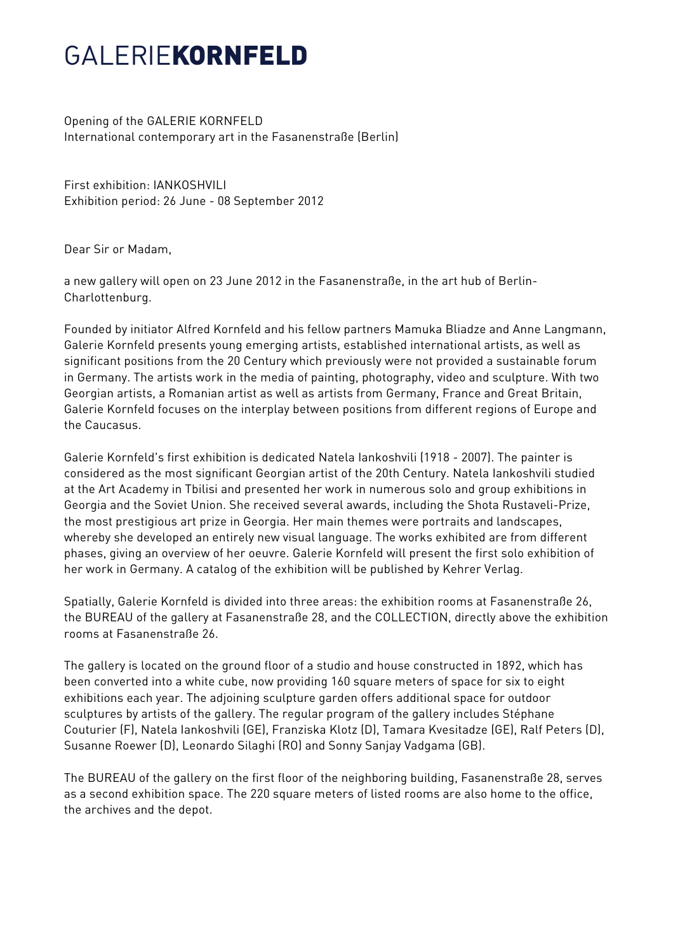## GAI FRIFKORNFELD

Opening of the GALERIE KORNFELD International contemporary art in the Fasanenstraße (Berlin)

First exhibition: IANKOSHVILI Exhibition period: 26 June - 08 September 2012

Dear Sir or Madam,

a new gallery will open on 23 June 2012 in the Fasanenstraße, in the art hub of Berlin-Charlottenburg.

Founded by initiator Alfred Kornfeld and his fellow partners Mamuka Bliadze and Anne Langmann, Galerie Kornfeld presents young emerging artists, established international artists, as well as significant positions from the 20 Century which previously were not provided a sustainable forum in Germany. The artists work in the media of painting, photography, video and sculpture. With two Georgian artists, a Romanian artist as well as artists from Germany, France and Great Britain, Galerie Kornfeld focuses on the interplay between positions from different regions of Europe and the Caucasus.

Galerie Kornfeld's first exhibition is dedicated Natela Iankoshvili (1918 - 2007). The painter is considered as the most significant Georgian artist of the 20th Century. Natela Iankoshvili studied at the Art Academy in Tbilisi and presented her work in numerous solo and group exhibitions in Georgia and the Soviet Union. She received several awards, including the Shota Rustaveli-Prize, the most prestigious art prize in Georgia. Her main themes were portraits and landscapes, whereby she developed an entirely new visual language. The works exhibited are from different phases, giving an overview of her oeuvre. Galerie Kornfeld will present the first solo exhibition of her work in Germany. A catalog of the exhibition will be published by Kehrer Verlag.

Spatially, Galerie Kornfeld is divided into three areas: the exhibition rooms at Fasanenstraße 26, the BUREAU of the gallery at Fasanenstraße 28, and the COLLECTION, directly above the exhibition rooms at Fasanenstraße 26.

The gallery is located on the ground floor of a studio and house constructed in 1892, which has been converted into a white cube, now providing 160 square meters of space for six to eight exhibitions each year. The adjoining sculpture garden offers additional space for outdoor sculptures by artists of the gallery. The regular program of the gallery includes Stéphane Couturier (F), Natela Iankoshvili (GE), Franziska Klotz (D), Tamara Kvesitadze (GE), Ralf Peters (D), Susanne Roewer (D), Leonardo Silaghi (RO) and Sonny Sanjay Vadgama (GB).

The BUREAU of the gallery on the first floor of the neighboring building, Fasanenstraße 28, serves as a second exhibition space. The 220 square meters of listed rooms are also home to the office, the archives and the depot.